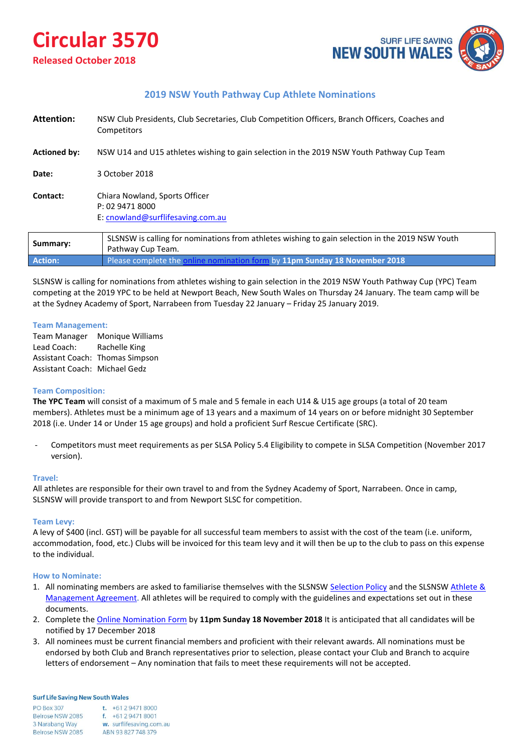# **Circular 3570**

## **Released October 2018**



## **2019 NSW Youth Pathway Cup Athlete Nominations**

| Attention:          | NSW Club Presidents, Club Secretaries, Club Competition Officers, Branch Officers, Coaches and<br><b>Competitors</b> |  |
|---------------------|----------------------------------------------------------------------------------------------------------------------|--|
| <b>Actioned by:</b> | NSW U14 and U15 athletes wishing to gain selection in the 2019 NSW Youth Pathway Cup Team                            |  |
| Date:               | 3 October 2018                                                                                                       |  |
| Contact:            | Chiara Nowland, Sports Officer<br>P: 02 9471 8000<br>E: cnowland@surflifesaving.com.au                               |  |
|                     | SLSNSW is calling for nominations from athletes wishing to gain selection in the 2019 NSW Youth                      |  |

| Summary:       | SLSNSW is calling for nominations from athletes wishing to gain selection in the 2019 NSW Youth<br>Pathway Cup Team. |
|----------------|----------------------------------------------------------------------------------------------------------------------|
| <b>Action:</b> | <b>Please complete the online nomination form by 11pm Sunday 18 November 2018</b>                                    |

SLSNSW is calling for nominations from athletes wishing to gain selection in the 2019 NSW Youth Pathway Cup (YPC) Team competing at the 2019 YPC to be held at Newport Beach, New South Wales on Thursday 24 January. The team camp will be at the Sydney Academy of Sport, Narrabeen from Tuesday 22 January – Friday 25 January 2019.

### **Team Management:**

Team Manager Monique Williams Lead Coach: Rachelle King Assistant Coach: Thomas Simpson Assistant Coach: Michael Gedz

### **Team Composition:**

**The YPC Team** will consist of a maximum of 5 male and 5 female in each U14 & U15 age groups (a total of 20 team members). Athletes must be a minimum age of 13 years and a maximum of 14 years on or before midnight 30 September 2018 (i.e. Under 14 or Under 15 age groups) and hold a proficient Surf Rescue Certificate (SRC).

- Competitors must meet requirements as per SLSA Policy 5.4 Eligibility to compete in SLSA Competition (November 2017 version).

### **Travel:**

All athletes are responsible for their own travel to and from the Sydney Academy of Sport, Narrabeen. Once in camp, SLSNSW will provide transport to and from Newport SLSC for competition.

### **Team Levy:**

A levy of \$400 (incl. GST) will be payable for all successful team members to assist with the cost of the team (i.e. uniform, accommodation, food, etc.) Clubs will be invoiced for this team levy and it will then be up to the club to pass on this expense to the individual.

### **How to Nominate:**

- 1. All nominating members are asked to familiarise themselves with the SLSNSW [Selection Policy a](http://www.surflifesaving.com.au/members/surfsports/sport-documents/slsnsw-selection-policy-2.pdf)nd the SLSNSW [Athlete &](http://www.surflifesaving.com.au/members/surfsports/sport-documents/slsnsw-athlete-and-management-agreement.pdf) [Management Agreement.](http://www.surflifesaving.com.au/members/surfsports/sport-documents/slsnsw-athlete-and-management-agreement.pdf) All athletes will be required to comply with the guidelines and expectations set out in these documents.
- 2. Complete the [Online Nomination Form](https://form.jotform.co/82738999381882) by **11pm Sunday 18 November 2018** It is anticipated that all candidates will be notified by 17 December 2018
- 3. All nominees must be current financial members and proficient with their relevant awards. All nominations must be endorsed by both Club and Branch representatives prior to selection, please contact your Club and Branch to acquire letters of endorsement – Any nomination that fails to meet these requirements will not be accepted.

#### **Surf Life Saving New South Wales**

| <b>PO Box 307</b> | t. $+61294718000$        |
|-------------------|--------------------------|
| Belrose NSW 2085  | $f. +61294718001$        |
| 3 Narabang Way    | w. surflifesaving.com.au |
| Belrose NSW 2085  | ABN 93 827 748 379       |